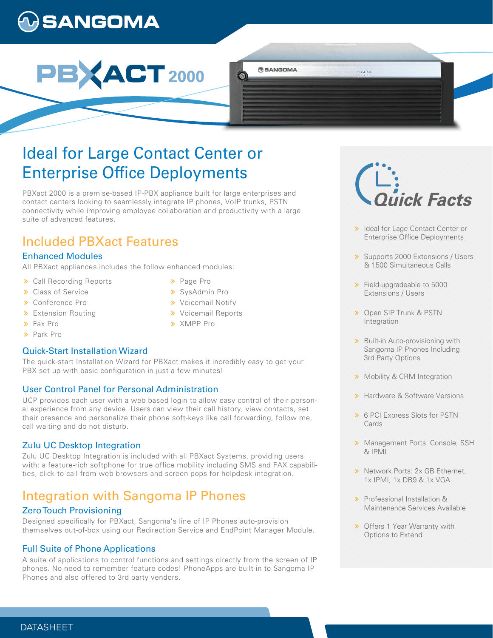# **)SANGOMA**



# Ideal for Large Contact Center or **Enterprise Office Deployments**

PBXact 2000 is a premise-based IP-PBX appliance built for large enterprises and contact centers looking to seamlessly integrate IP phones, VoIP trunks, PSTN connectivity while improving employee collaboration and productivity with a large suite of advanced features.

## Included PBXact Features

## Enhanced Modules

All PBXact appliances includes the follow enhanced modules:

- Call Recording Reports
- **>>** Class of Service
- Conference Pro
- **>** Extension Routing
- Fax Pro
- Park Pro

## Quick-Start Installation Wizard

The quick-start Installation Wizard for PBXact makes it incredibly easy to get your PBX set up with basic configuration in just a few minutes!

## User Control Panel for Personal Administration

UCP provides each user with a web based login to allow easy control of their personal experience from any device. Users can view their call history, view contacts, set their presence and personalize their phone soft-keys like call forwarding, follow me, call waiting and do not disturb.

## Zulu UC Desktop Integration

Zulu UC Desktop Integration is included with all PBXact Systems, providing users with: a feature-rich softphone for true office mobility including SMS and FAX capabilities, click-to-call from web browsers and screen pops for helpdesk integration.

## Integration with Sangoma IP Phones

## Zero Touch Provisioning

Designed specifically for PBXact, Sangoma's line of IP Phones auto-provision themselves out-of-box using our Redirection Service and EndPoint Manager Module.

## Full Suite of Phone Applications

A suite of applications to control functions and settings directly from the screen of IP phones. No need to remember feature codes! PhoneApps are built-in to Sangoma IP Phones and also offered to 3rd party vendors.

- > Page Pro
- SysAdmin Pro
- **»** Voicemail Notify
- **»** Voicemail Reports

**BANGOMA** 

 $\circledcirc$ 

XMPP Pro

i<br>lick Facts

00458

- > Ideal for Lage Contact Center or Enterprise Office Deployments
- **»** Supports 2000 Extensions / Users & 1500 Simultaneous Calls
- **>>** Field-upgradeable to 5000 Extensions / Users
- **»** Open SIP Trunk & PSTN **Integration**
- **»** Built-in Auto-provisioning with Sangoma IP Phones Including 3rd Party Options
- **»** Mobility & CRM Integration
- **»** Hardware & Software Versions
- 6 PCI Express Slots for PSTN **Cards**
- **»** Management Ports: Console, SSH & IPMI
- > Network Ports: 2x GB Ethernet. 1x IPMI, 1x DB9 & 1x VGA
- **»** Professional Installation & Maintenance Services Available
- **»** Offers 1 Year Warranty with Options to Extend